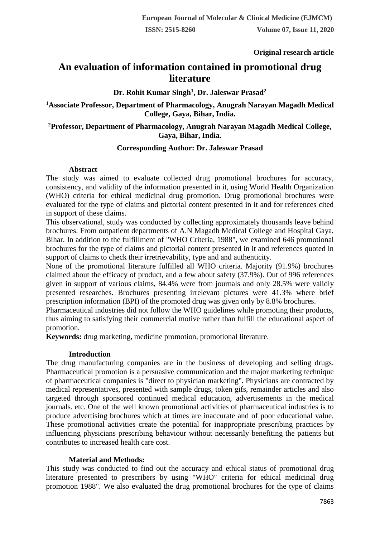**Original research article** 

# **An evaluation of information contained in promotional drug literature**

# **Dr. Rohit Kumar Singh<sup>1</sup> , Dr. Jaleswar Prasad<sup>2</sup>**

**<sup>1</sup>Associate Professor, Department of Pharmacology, Anugrah Narayan Magadh Medical College, Gaya, Bihar, India.**

# **<sup>2</sup>Professor, Department of Pharmacology, Anugrah Narayan Magadh Medical College, Gaya, Bihar, India.**

# **Corresponding Author: Dr. Jaleswar Prasad**

#### **Abstract**

The study was aimed to evaluate collected drug promotional brochures for accuracy, consistency, and validity of the information presented in it, using World Health Organization (WHO) criteria for ethical medicinal drug promotion. Drug promotional brochures were evaluated for the type of claims and pictorial content presented in it and for references cited in support of these claims.

This observational, study was conducted by collecting approximately thousands leave behind brochures. From outpatient departments of A.N Magadh Medical College and Hospital Gaya, Bihar. In addition to the fulfillment of "WHO Criteria, 1988", we examined 646 promotional brochures for the type of claims and pictorial content presented in it and references quoted in support of claims to check their irretrievability, type and and authenticity.

None of the promotional literature fulfilled all WHO criteria. Majority (91.9%) brochures claimed about the efficacy of product, and a few about safety (37.9%). Out of 996 references given in support of various claims, 84.4% were from journals and only 28.5% were validly presented researches. Brochures presenting irrelevant pictures were 41.3% where brief prescription information (BPI) of the promoted drug was given only by 8.8% brochures.

Pharmaceutical industries did not follow the WHO guidelines while promoting their products, thus aiming to satisfying their commercial motive rather than fulfill the educational aspect of promotion.

**Keywords:** drug marketing, medicine promotion, promotional literature.

# **Introduction**

The drug manufacturing companies are in the business of developing and selling drugs. Pharmaceutical promotion is a persuasive communication and the major marketing technique of pharmaceutical companies is "direct to physician marketing". Physicians are contracted by medical representatives, presented with sample drugs, token gifs, remainder articles and also targeted through sponsored continued medical education, advertisements in the medical journals. etc. One of the well known promotional activities of pharmaceutical industries is to produce advertising brochures which at times are inaccurate and of poor educational value. These promotional activities create the potential for inappropriate prescribing practices by influencing physicians prescribing behaviour without necessarily benefiting the patients but contributes to increased health care cost.

# **Material and Methods:**

This study was conducted to find out the accuracy and ethical status of promotional drug literature presented to prescribers by using "WHO" criteria for ethical medicinal drug promotion 1988". We also evaluated the drug promotional brochures for the type of claims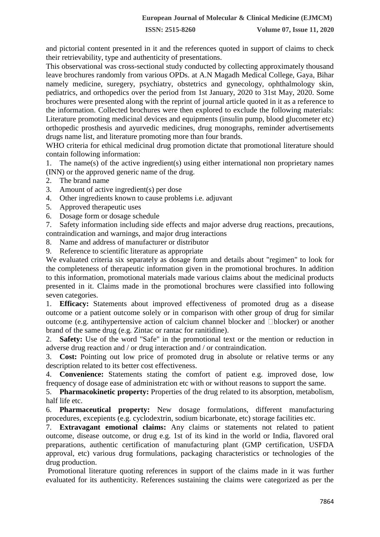**ISSN: 2515-8260 Volume 07, Issue 11, 2020**

and pictorial content presented in it and the references quoted in support of claims to check their retrievability, type and authenticity of presentations.

This observational was cross-sectional study conducted by collecting approximately thousand leave brochures randomly from various OPDs. at A.N Magadh Medical College, Gaya, Bihar namely medicine, suregery, psychiatry, obstetrics and gynecology, ophthalmology skin, pediatrics, and orthopedics over the period from 1st January, 2020 to 31st May, 2020. Some brochures were presented along with the reprint of journal article quoted in it as a reference to the information. Collected brochures were then explored to exclude the following materials: Literature promoting medicinal devices and equipments (insulin pump, blood glucometer etc) orthopedic prosthesis and ayurvedic medicines, drug monographs, reminder advertisements drugs name list, and literature promoting more than four brands.

WHO criteria for ethical medicinal drug promotion dictate that promotional literature should contain following information:

1. The name(s) of the active ingredient(s) using either international non proprietary names (INN) or the approved generic name of the drug.

- 2. The brand name
- 3. Amount of active ingredient(s) per dose
- 4. Other ingredients known to cause problems i.e. adjuvant
- 5. Approved therapeutic uses
- 6. Dosage form or dosage schedule
- 7. Safety information including side effects and major adverse drug reactions, precautions, contraindication and warnings, and major drug interactions

8. Name and address of manufacturer or distributor

9. Reference to scientific literature as appropriate

We evaluated criteria six separately as dosage form and details about "regimen" to look for the completeness of therapeutic information given in the promotional brochures. In addition to this information, promotional materials made various claims about the medicinal products presented in it. Claims made in the promotional brochures were classified into following seven categories.

1. **Efficacy:** Statements about improved effectiveness of promoted drug as a disease outcome or a patient outcome solely or in comparison with other group of drug for similar outcome (e.g. antihypertensive action of calcium channel blocker and  $\Box$ blocker) or another brand of the same drug (e.g. Zintac or rantac for ranitidine).

2. **Safety:** Use of the word "Safe" in the promotional text or the mention or reduction in adverse drug reaction and / or drug interaction and / or contraindication.

3. **Cost:** Pointing out low price of promoted drug in absolute or relative terms or any description related to its better cost effectiveness.

4. **Convenience:** Statements stating the comfort of patient e.g. improved dose, low frequency of dosage ease of administration etc with or without reasons to support the same.

5. **Pharmacokinetic property:** Properties of the drug related to its absorption, metabolism, half life etc.

6. **Pharmaceutical property:** New dosage formulations, different manufacturing procedures, excepients (e.g. cyclodextrin, sodium bicarbonate, etc) storage facilities etc.

7. **Extravagant emotional claims:** Any claims or statements not related to patient outcome, disease outcome, or drug e.g. 1st of its kind in the world or India, flavored oral preparations, authentic certification of manufacturing plant (GMP certification, USFDA approval, etc) various drug formulations, packaging characteristics or technologies of the drug production.

Promotional literature quoting references in support of the claims made in it was further evaluated for its authenticity. References sustaining the claims were categorized as per the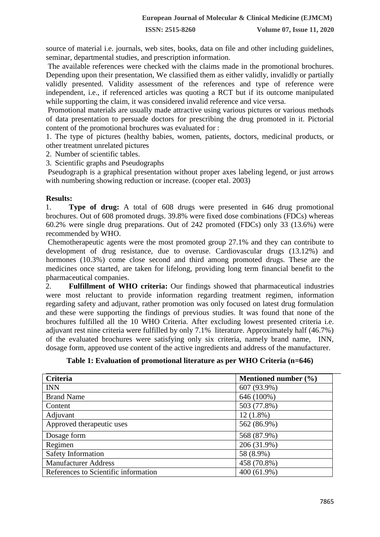source of material i.e. journals, web sites, books, data on file and other including guidelines, seminar, departmental studies, and prescription information.

The available references were checked with the claims made in the promotional brochures. Depending upon their presentation, We classified them as either validly, invalidly or partially validly presented. Validity assessment of the references and type of reference were independent, i.e., if referenced articles was quoting a RCT but if its outcome manipulated while supporting the claim, it was considered invalid reference and vice versa.

Promotional materials are usually made attractive using various pictures or various methods of data presentation to persuade doctors for prescribing the drug promoted in it. Pictorial content of the promotional brochures was evaluated for :

1. The type of pictures (healthy babies, women, patients, doctors, medicinal products, or other treatment unrelated pictures

2. Number of scientific tables.

3. Scientific graphs and Pseudographs

Pseudograph is a graphical presentation without proper axes labeling legend, or just arrows with numbering showing reduction or increase. (cooper etal. 2003)

#### **Results:**

1. **Type of drug:** A total of 608 drugs were presented in 646 drug promotional brochures. Out of 608 promoted drugs. 39.8% were fixed dose combinations (FDCs) whereas 60.2% were single drug preparations. Out of 242 promoted (FDCs) only 33 (13.6%) were recommended by WHO.

Chemotherapeutic agents were the most promoted group 27.1% and they can contribute to development of drug resistance, due to overuse. Cardiovascular drugs (13.12%) and hormones (10.3%) come close second and third among promoted drugs. These are the medicines once started, are taken for lifelong, providing long term financial benefit to the pharmaceutical companies.

2. **Fulfillment of WHO criteria:** Our findings showed that pharmaceutical industries were most reluctant to provide information regarding treatment regimen, information regarding safety and adjuvant, rather promotion was only focused on latest drug formulation and these were supporting the findings of previous studies. It was found that none of the brochures fulfilled all the 10 WHO Criteria. After excluding lowest presented criteria i.e. adjuvant rest nine criteria were fulfilled by only 7.1% literature. Approximately half (46.7%) of the evaluated brochures were satisfying only six criteria, namely brand name, INN, dosage form, approved use content of the active ingredients and address of the manufacturer.

| Table 1: Evaluation of promotional literature as per WHO Criteria (n=646) |  |  |  |  |  |
|---------------------------------------------------------------------------|--|--|--|--|--|
|---------------------------------------------------------------------------|--|--|--|--|--|

| <b>Criteria</b>                      | Mentioned number $(\% )$ |
|--------------------------------------|--------------------------|
| <b>INN</b>                           | 607 (93.9%)              |
| <b>Brand Name</b>                    | 646 (100%)               |
| Content                              | 503 (77.8%)              |
| Adjuvant                             | $12(1.8\%)$              |
| Approved therapeutic uses            | 562 (86.9%)              |
| Dosage form                          | 568 (87.9%)              |
| Regimen                              | 206 (31.9%)              |
| <b>Safety Information</b>            | 58 (8.9%)                |
| <b>Manufacturer Address</b>          | 458 (70.8%)              |
| References to Scientific information | 400 (61.9%)              |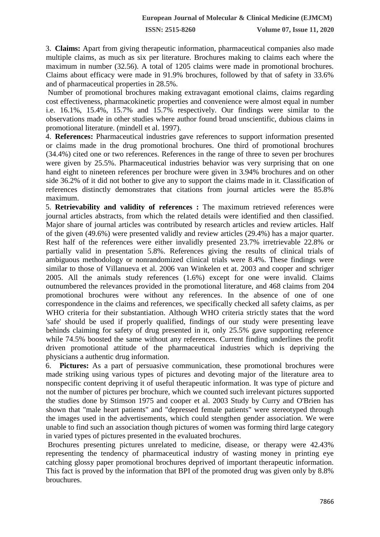**ISSN: 2515-8260 Volume 07, Issue 11, 2020**

3. **Claims:** Apart from giving therapeutic information, pharmaceutical companies also made multiple claims, as much as six per literature. Brochures making to claims each where the maximum in number (32.56). A total of 1205 claims were made in promotional brochures. Claims about efficacy were made in 91.9% brochures, followed by that of safety in 33.6% and of pharmaceutical properties in 28.5%.

Number of promotional brochures making extravagant emotional claims, claims regarding cost effectiveness, pharmacokinetic properties and convenience were almost equal in number i.e. 16.1%, 15.4%, 15.7% and 15.7% respectively. Our findings were similar to the observations made in other studies where author found broad unscientific, dubious claims in promotional literature. (mindell et al. 1997).

4. **References:** Pharmaceutical industries gave references to support information presented or claims made in the drug promotional brochures. One third of promotional brochures (34.4%) cited one or two references. References in the range of three to seven per brochures were given by 25.5%. Pharmaceutical industries behavior was very surprising that on one hand eight to nineteen references per brochure were given in 3.94% brochures and on other side 36.2% of it did not bother to give any to support the claims made in it. Classification of references distinctly demonstrates that citations from journal articles were the 85.8% maximum.

5. **Retrievability and validity of references :** The maximum retrieved references were journal articles abstracts, from which the related details were identified and then classified. Major share of journal articles was contributed by research articles and review articles. Half of the given (49.6%) were presented validly and review articles (29.4%) has a major quarter. Rest half of the references were either invalidly presented 23.7% irretrievable 22.8% or partially valid in presentation 5.8%. References giving the results of clinical trials of ambiguous methodology or nonrandomized clinical trials were 8.4%. These findings were similar to those of Villanueva et al. 2006 van Winkelen et at. 2003 and cooper and schriger 2005. All the animals study references (1.6%) except for one were invalid. Claims outnumbered the relevances provided in the promotional literature, and 468 claims from 204 promotional brochures were without any references. In the absence of one of one correspondence in the claims and references, we specifically checked all safety claims, as per WHO criteria for their substantiation. Although WHO criteria strictly states that the word 'safe' should be used if properly qualified, findings of our study were presenting leave behinds claiming for safety of drug presented in it, only 25.5% gave supporting reference while 74.5% boosted the same without any references. Current finding underlines the profit driven promotional attitude of the pharmaceutical industries which is depriving the physicians a authentic drug information.

6. **Pictures:** As a part of persuasive communication, these promotional brochures were made striking using various types of pictures and devoting major of the literature area to nonspecific content depriving it of useful therapeutic information. It was type of picture and not the number of pictures per brochure, which we counted such irrelevant pictures supported the studies done by Stimson 1975 and cooper et al. 2003 Study by Curry and O'Brien has shown that "male heart patients" and "depressed female patients" were stereotyped through the images used in the advertisements, which could stengthen gender association. We were unable to find such an association though pictures of women was forming third large category in varied types of pictures presented in the evaluated brochures.

Brochures presenting pictures unrelated to medicine, disease, or therapy were 42.43% representing the tendency of pharmaceutical industry of wasting money in printing eye catching glossy paper promotional brochures deprived of important therapeutic information. This fact is proved by the information that BPI of the promoted drug was given only by 8.8% brouchures.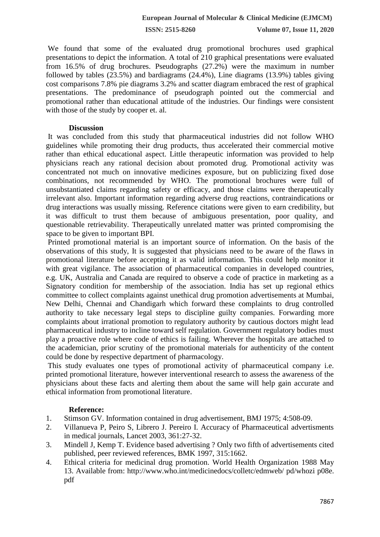**ISSN: 2515-8260 Volume 07, Issue 11, 2020**

We found that some of the evaluated drug promotional brochures used graphical presentations to depict the information. A total of 210 graphical presentations were evaluated from 16.5% of drug brochures. Pseudographs (27.2%) were the maximum in number followed by tables  $(23.5\%)$  and bardiagrams  $(24.4\%)$ , Line diagrams  $(13.9\%)$  tables giving cost comparisons 7.8% pie diagrams 3.2% and scatter diagram embraced the rest of graphical presentations. The predominance of pseudograph pointed out the commercial and promotional rather than educational attitude of the industries. Our findings were consistent with those of the study by cooper et. al.

#### **Discussion**

It was concluded from this study that pharmaceutical industries did not follow WHO guidelines while promoting their drug products, thus accelerated their commercial motive rather than ethical educational aspect. Little therapeutic information was provided to help physicians reach any rational decision about promoted drug. Promotional activity was concentrated not much on innovative medicines exposure, but on publicizing fixed dose combinations, not recommended by WHO. The promotional brochures were full of unsubstantiated claims regarding safety or efficacy, and those claims were therapeutically irrelevant also. Important information regarding adverse drug reactions, contraindications or drug interactions was usually missing. Reference citations were given to earn credibility, but it was difficult to trust them because of ambiguous presentation, poor quality, and questionable retrievability. Therapeutically unrelated matter was printed compromising the space to be given to important BPI.

Printed promotional material is an important source of information. On the basis of the observations of this study, It is suggested that physicians need to be aware of the flaws in promotional literature before accepting it as valid information. This could help monitor it with great vigilance. The association of pharmaceutical companies in developed countries, e.g. UK, Australia and Canada are required to observe a code of practice in marketing as a Signatory condition for membership of the association. India has set up regional ethics committee to collect complaints against unethical drug promotion advertisements at Mumbai, New Delhi, Chennai and Chandigarh which forward these complaints to drug controlled authority to take necessary legal steps to discipline guilty companies. Forwarding more complaints about irrational promotion to regulatory authority by cautious doctors might lead pharmaceutical industry to incline toward self regulation. Government regulatory bodies must play a proactive role where code of ethics is failing. Wherever the hospitals are attached to the academician, prior scrutiny of the promotional materials for authenticity of the content could be done by respective department of pharmacology.

This study evaluates one types of promotional activity of pharmaceutical company i.e. printed promotional literature, however interventional research to assess the awareness of the physicians about these facts and alerting them about the same will help gain accurate and ethical information from promotional literature.

#### **Reference:**

- 1. Stimson GV. Information contained in drug advertisement, BMJ 1975; 4:508-09.
- 2. Villanueva P, Peiro S, Librero J. Pereiro I. Accuracy of Pharmaceutical advertisments in medical journals, Lancet 2003, 361:27-32.
- 3. Mindell J, Kemp T. Evidence based advertising ? Only two fifth of advertisements cited published, peer reviewed references, BMK 1997, 315:1662.
- 4. Ethical criteria for medicinal drug promotion. World Health Organization 1988 May 13. Available from: http://www.who.int/medicinedocs/colletc/edmweb/ pd/whozi p08e. pdf